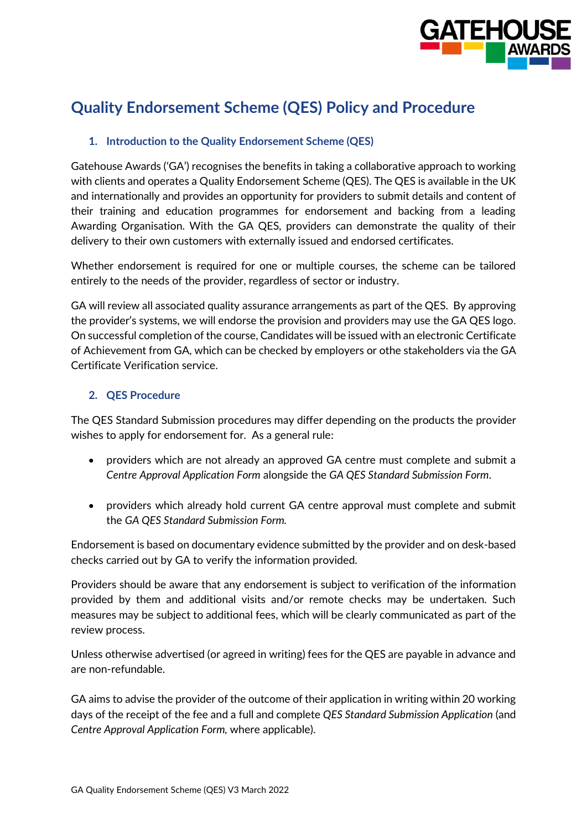

# **Quality Endorsement Scheme (QES) Policy and Procedure**

# **1. Introduction to the Quality Endorsement Scheme (QES)**

Gatehouse Awards ('GA') recognises the benefits in taking a collaborative approach to working with clients and operates a Quality Endorsement Scheme (QES). The QES is available in the UK and internationally and provides an opportunity for providers to submit details and content of their training and education programmes for endorsement and backing from a leading Awarding Organisation. With the GA QES, providers can demonstrate the quality of their delivery to their own customers with externally issued and endorsed certificates.

Whether endorsement is required for one or multiple courses, the scheme can be tailored entirely to the needs of the provider, regardless of sector or industry.

GA will review all associated quality assurance arrangements as part of the QES. By approving the provider's systems, we will endorse the provision and providers may use the GA QES logo. On successful completion of the course, Candidates will be issued with an electronic Certificate of Achievement from GA, which can be checked by employers or othe stakeholders via the GA Certificate Verification service.

## **2. QES Procedure**

The QES Standard Submission procedures may differ depending on the products the provider wishes to apply for endorsement for. As a general rule:

- providers which are not already an approved GA centre must complete and submit a *Centre Approval Application Form* alongside the *GA QES Standard Submission Form*.
- providers which already hold current GA centre approval must complete and submit the *GA QES Standard Submission Form.*

Endorsement is based on documentary evidence submitted by the provider and on desk-based checks carried out by GA to verify the information provided.

Providers should be aware that any endorsement is subject to verification of the information provided by them and additional visits and/or remote checks may be undertaken. Such measures may be subject to additional fees, which will be clearly communicated as part of the review process.

Unless otherwise advertised (or agreed in writing) fees for the QES are payable in advance and are non-refundable.

GA aims to advise the provider of the outcome of their application in writing within 20 working days of the receipt of the fee and a full and complete *QES Standard Submission Application* (and *Centre Approval Application Form,* where applicable).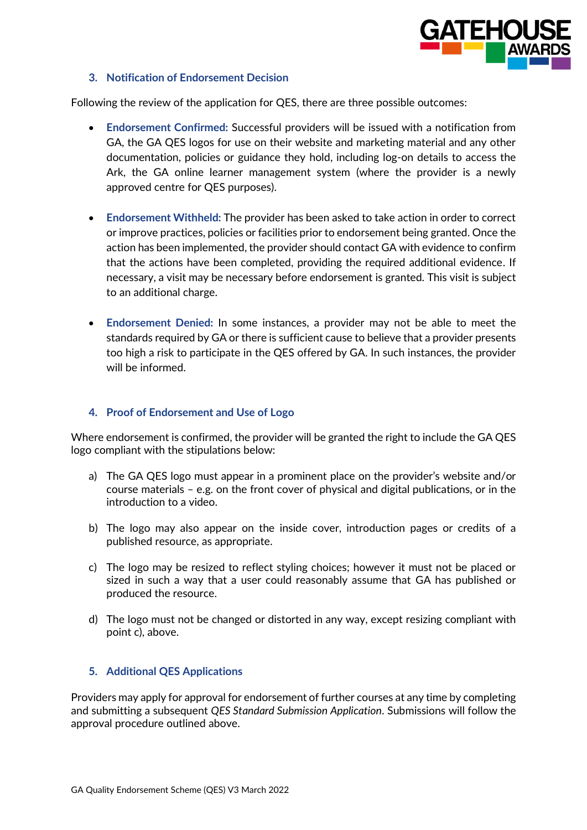

## **3. Notification of Endorsement Decision**

Following the review of the application for QES, there are three possible outcomes:

- **Endorsement Confirmed:** Successful providers will be issued with a notification from GA, the GA QES logos for use on their website and marketing material and any other documentation, policies or guidance they hold, including log-on details to access the Ark, the GA online learner management system (where the provider is a newly approved centre for QES purposes).
- **Endorsement Withheld:** The provider has been asked to take action in order to correct or improve practices, policies or facilities prior to endorsement being granted. Once the action has been implemented, the provider should contact GA with evidence to confirm that the actions have been completed, providing the required additional evidence. If necessary, a visit may be necessary before endorsement is granted. This visit is subject to an additional charge.
- **Endorsement Denied:** In some instances, a provider may not be able to meet the standards required by GA or there is sufficient cause to believe that a provider presents too high a risk to participate in the QES offered by GA. In such instances, the provider will be informed.

## **4. Proof of Endorsement and Use of Logo**

Where endorsement is confirmed, the provider will be granted the right to include the GA QES logo compliant with the stipulations below:

- a) The GA QES logo must appear in a prominent place on the provider's website and/or course materials – e.g. on the front cover of physical and digital publications, or in the introduction to a video.
- b) The logo may also appear on the inside cover, introduction pages or credits of a published resource, as appropriate.
- c) The logo may be resized to reflect styling choices; however it must not be placed or sized in such a way that a user could reasonably assume that GA has published or produced the resource.
- d) The logo must not be changed or distorted in any way, except resizing compliant with point c), above.

## **5. Additional QES Applications**

Providers may apply for approval for endorsement of further courses at any time by completing and submitting a subsequent *QES Standard Submission Application*. Submissions will follow the approval procedure outlined above.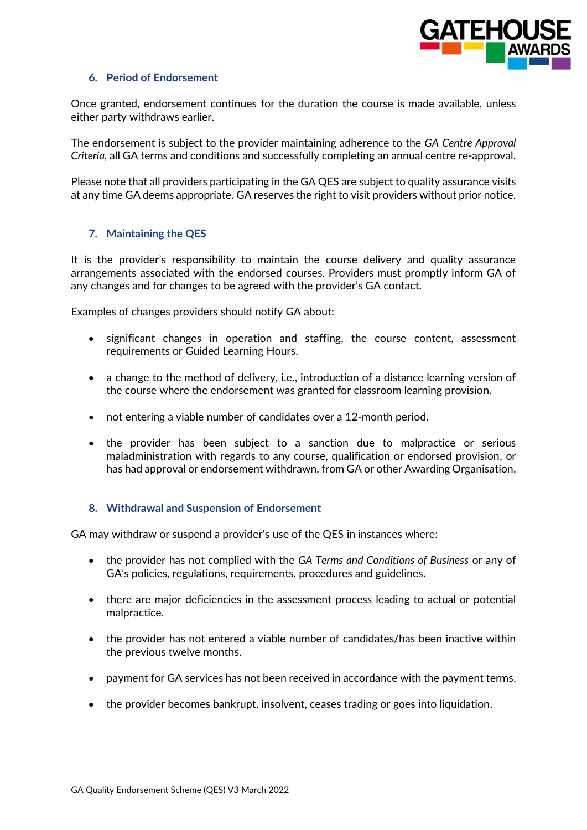

#### **6. Period of Endorsement**

Once granted, endorsement continues for the duration the course is made available, unless either party withdraws earlier.

The endorsement is subject to the provider maintaining adherence to the *GA Centre Approval Criteria,* all GA terms and conditions and successfully completing an annual centre re-approval.

Please note that all providers participating in the GA QES are subject to quality assurance visits at any time GA deems appropriate. GA reserves the right to visit providers without prior notice.

## **7. Maintaining the QES**

It is the provider's responsibility to maintain the course delivery and quality assurance arrangements associated with the endorsed courses. Providers must promptly inform GA of any changes and for changes to be agreed with the provider's GA contact.

Examples of changes providers should notify GA about:

- significant changes in operation and staffing, the course content, assessment requirements or Guided Learning Hours.
- a change to the method of delivery, i.e., introduction of a distance learning version of the course where the endorsement was granted for classroom learning provision.
- not entering a viable number of candidates over a 12-month period.
- the provider has been subject to a sanction due to malpractice or serious maladministration with regards to any course, qualification or endorsed provision, or has had approval or endorsement withdrawn, from GA or other Awarding Organisation.

## **8. Withdrawal and Suspension of Endorsement**

GA may withdraw or suspend a provider's use of the QES in instances where:

- the provider has not complied with the *GA Terms and Conditions of Business* or any of GA's policies, regulations, requirements, procedures and guidelines.
- there are major deficiencies in the assessment process leading to actual or potential malpractice.
- the provider has not entered a viable number of candidates/has been inactive within the previous twelve months.
- payment for GA services has not been received in accordance with the payment terms.
- the provider becomes bankrupt, insolvent, ceases trading or goes into liquidation.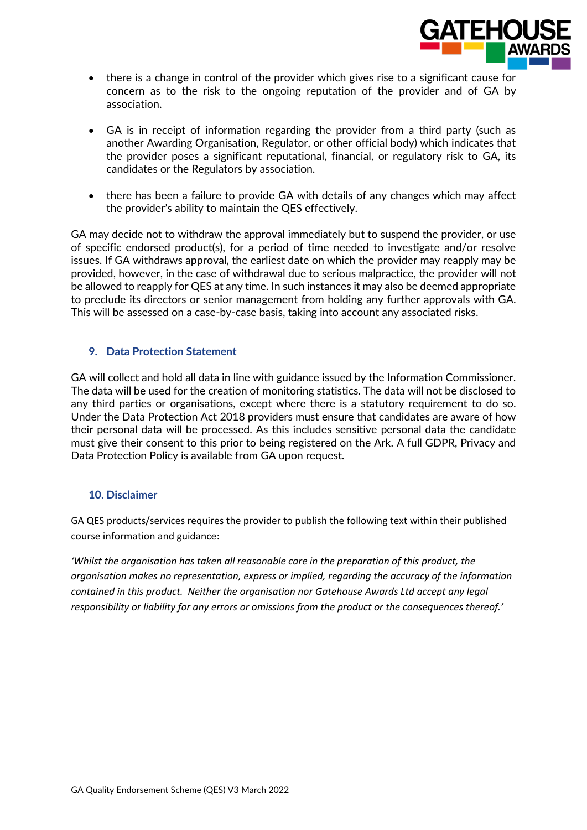

- there is a change in control of the provider which gives rise to a significant cause for concern as to the risk to the ongoing reputation of the provider and of GA by association.
- GA is in receipt of information regarding the provider from a third party (such as another Awarding Organisation, Regulator, or other official body) which indicates that the provider poses a significant reputational, financial, or regulatory risk to GA, its candidates or the Regulators by association.
- there has been a failure to provide GA with details of any changes which may affect the provider's ability to maintain the QES effectively.

GA may decide not to withdraw the approval immediately but to suspend the provider, or use of specific endorsed product(s), for a period of time needed to investigate and/or resolve issues. If GA withdraws approval, the earliest date on which the provider may reapply may be provided, however, in the case of withdrawal due to serious malpractice, the provider will not be allowed to reapply for QES at any time. In such instances it may also be deemed appropriate to preclude its directors or senior management from holding any further approvals with GA. This will be assessed on a case-by-case basis, taking into account any associated risks.

# **9. Data Protection Statement**

GA will collect and hold all data in line with guidance issued by the Information Commissioner. The data will be used for the creation of monitoring statistics. The data will not be disclosed to any third parties or organisations, except where there is a statutory requirement to do so. Under the Data Protection Act 2018 providers must ensure that candidates are aware of how their personal data will be processed. As this includes sensitive personal data the candidate must give their consent to this prior to being registered on the Ark. A full GDPR, Privacy and Data Protection Policy is available from GA upon request.

## **10. Disclaimer**

GA QES products/services requires the provider to publish the following text within their published course information and guidance:

*'Whilst the organisation has taken all reasonable care in the preparation of this product, the organisation makes no representation, express or implied, regarding the accuracy of the information contained in this product. Neither the organisation nor Gatehouse Awards Ltd accept any legal responsibility or liability for any errors or omissions from the product or the consequences thereof.'*